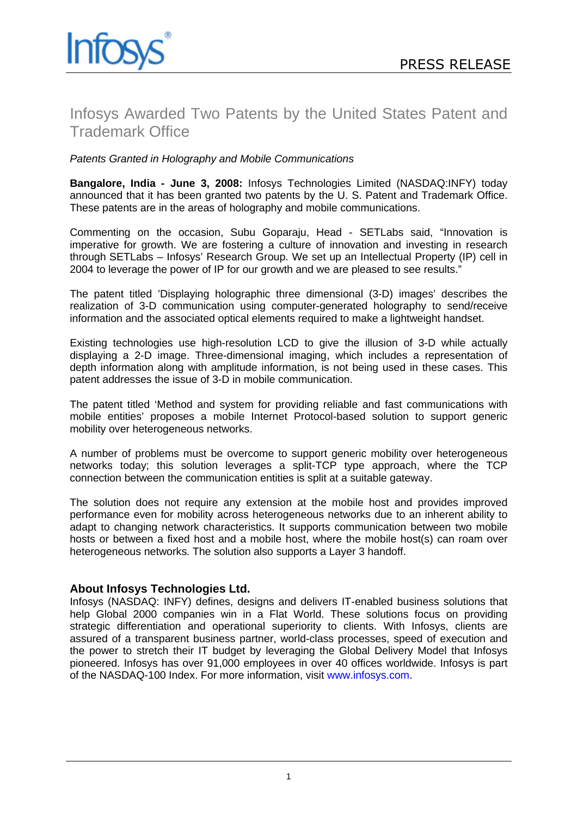

## Infosys Awarded Two Patents by the United States Patent and Trademark Office

*Patents Granted in Holography and Mobile Communications*

**Bangalore, India - June 3, 2008:** Infosys Technologies Limited (NASDAQ:INFY) today announced that it has been granted two patents by the U. S. Patent and Trademark Office. These patents are in the areas of holography and mobile communications.

Commenting on the occasion, Subu Goparaju, Head - SETLabs said, "Innovation is imperative for growth. We are fostering a culture of innovation and investing in research through SETLabs – Infosys' Research Group. We set up an Intellectual Property (IP) cell in 2004 to leverage the power of IP for our growth and we are pleased to see results."

The patent titled 'Displaying holographic three dimensional (3-D) images' describes the realization of 3-D communication using computer-generated holography to send/receive information and the associated optical elements required to make a lightweight handset.

Existing technologies use high-resolution LCD to give the illusion of 3-D while actually displaying a 2-D image. Three-dimensional imaging, which includes a representation of depth information along with amplitude information, is not being used in these cases. This patent addresses the issue of 3-D in mobile communication.

The patent titled 'Method and system for providing reliable and fast communications with mobile entities' proposes a mobile Internet Protocol-based solution to support generic mobility over heterogeneous networks.

A number of problems must be overcome to support generic mobility over heterogeneous networks today; this solution leverages a split-TCP type approach, where the TCP connection between the communication entities is split at a suitable gateway.

The solution does not require any extension at the mobile host and provides improved performance even for mobility across heterogeneous networks due to an inherent ability to adapt to changing network characteristics. It supports communication between two mobile hosts or between a fixed host and a mobile host, where the mobile host(s) can roam over heterogeneous networks. The solution also supports a Layer 3 handoff.

## **About Infosys Technologies Ltd.**

Infosys (NASDAQ: INFY) defines, designs and delivers IT-enabled business solutions that help Global 2000 companies win in a Flat World. These solutions focus on providing strategic differentiation and operational superiority to clients. With Infosys, clients are assured of a transparent business partner, world-class processes, speed of execution and the power to stretch their IT budget by leveraging the Global Delivery Model that Infosys pioneered. Infosys has over 91,000 employees in over 40 offices worldwide. Infosys is part of the NASDAQ-100 Index. For more information, visit [www.infosys.com](http://www.infosys.com).